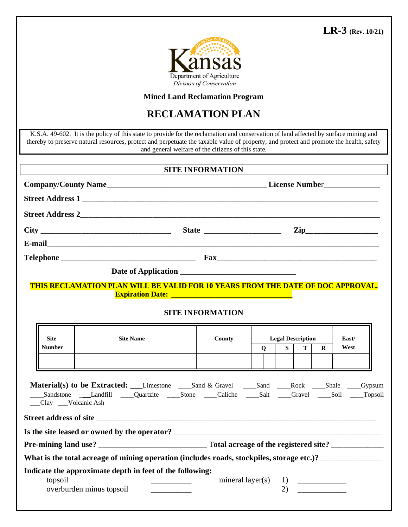**LR-3 (Rev. 10/21)**



#### **Mined Land Reclamation Program**

# **RECLAMATION PLAN**

K.S.A. 49-602.It is the policy of this state to provide for the reclamation and conservation of land affected by surface mining and thereby to preserve natural resources, protect and perpetuate the taxable value of property, and protect and promote the health, safety and general welfare of the citizens of this state.

| <b>SITE INFORMATION</b> |  |                  |  |  |  |
|-------------------------|--|------------------|--|--|--|
|                         |  |                  |  |  |  |
|                         |  |                  |  |  |  |
|                         |  |                  |  |  |  |
|                         |  | $\mathbf{Zip}\_$ |  |  |  |
|                         |  |                  |  |  |  |
|                         |  |                  |  |  |  |
|                         |  |                  |  |  |  |

**THIS RECLAMATION PLAN WILL BE VALID FOR 10 YEARS FROM THE DATE OF DOC APPROVAL. Expiration Date: \_\_\_\_\_\_\_\_\_\_\_\_\_\_\_\_\_\_\_\_\_\_\_\_\_\_\_\_\_\_\_\_\_**

## **SITE INFORMATION**

| <b>Site</b>       | <b>Site Name</b>                                                                                                                                                                                                                     | County |             |             | <b>Legal Description</b> |              | East/ |  |
|-------------------|--------------------------------------------------------------------------------------------------------------------------------------------------------------------------------------------------------------------------------------|--------|-------------|-------------|--------------------------|--------------|-------|--|
| <b>Number</b>     |                                                                                                                                                                                                                                      |        | $\mathbf 0$ | $S_{\perp}$ | T.                       | $\mathbf{R}$ | West  |  |
|                   |                                                                                                                                                                                                                                      |        |             |             |                          |              |       |  |
|                   | Material(s) to be Extracted: ___Limestone ____Sand & Gravel ____Sand ____Rock ____Shale ___Gypsum                                                                                                                                    |        |             |             |                          |              |       |  |
| Clay Volcanic Ash | Sandstone Landfill Quartzite Stone Caliche Salt Gravel Soil Topsoil                                                                                                                                                                  |        |             |             |                          |              |       |  |
|                   |                                                                                                                                                                                                                                      |        |             |             |                          |              |       |  |
|                   |                                                                                                                                                                                                                                      |        |             |             |                          |              |       |  |
|                   |                                                                                                                                                                                                                                      |        |             |             |                          |              |       |  |
|                   | What is the total acreage of mining operation (includes roads, stockpiles, storage etc.)?                                                                                                                                            |        |             |             |                          |              |       |  |
|                   | Indicate the approximate depth in feet of the following:                                                                                                                                                                             |        |             |             |                          |              |       |  |
|                   |                                                                                                                                                                                                                                      |        |             |             |                          |              |       |  |
| topsoil           | <u> Constantinople de la propincia de la propincia de la propincia de la propincia de la propincia de la propincia de la propincia de la propincia de la propincia de la propincia de la propincia de la propincia de la propinc</u> |        |             |             |                          |              |       |  |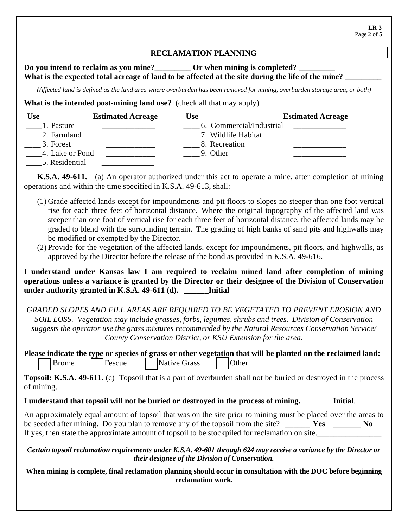#### **RECLAMATION PLANNING**

## **Do you intend to reclaim as you mine?**\_\_\_\_\_\_\_\_\_ **Or when mining is completed?** \_\_\_\_\_\_\_\_\_ What is the expected total acreage of land to be affected at the site during the life of the mine?

*(Affected land is defined as the land area where overburden has been removed for mining, overburden storage area, or both)*

#### **What is the intended post-mining land use?** (check all that may apply)

| <b>Use</b>      | <b>Estimated Acreage</b> | Use                      | <b>Estimated Acreage</b> |
|-----------------|--------------------------|--------------------------|--------------------------|
| 1. Pasture      |                          | 6. Commercial/Industrial |                          |
| 2. Farmland     |                          | 7. Wildlife Habitat      |                          |
| 3. Forest       |                          | 8. Recreation            |                          |
| 4. Lake or Pond |                          | 9. Other                 |                          |
| 5. Residential  |                          |                          |                          |

**K.S.A. 49-611.** (a) An operator authorized under this act to operate a mine, after completion of mining operations and within the time specified in K.S.A. 49-613, shall:

- (1) Grade affected lands except for impoundments and pit floors to slopes no steeper than one foot vertical rise for each three feet of horizontal distance. Where the original topography of the affected land was steeper than one foot of vertical rise for each three feet of horizontal distance, the affected lands may be graded to blend with the surrounding terrain. The grading of high banks of sand pits and highwalls may be modified or exempted by the Director.
- (2) Provide for the vegetation of the affected lands, except for impoundments, pit floors, and highwalls, as approved by the Director before the release of the bond as provided in K.S.A. 49-616.

#### **I understand under Kansas law I am required to reclaim mined land after completion of mining operations unless a variance is granted by the Director or their designee of the Division of Conservation under authority granted in K.S.A. 49-611 (d). \_\_\_\_\_\_Initial**

*GRADED SLOPES AND FILL AREAS ARE REQUIRED TO BE VEGETATED TO PREVENT EROSION AND SOIL LOSS. Vegetation may include grasses, forbs, legumes, shrubs and trees. Division of Conservation suggests the operator use the grass mixtures recommended by the Natural Resources Conservation Service/ County Conservation District, or KSU Extension for the area.*

|  |              |        |              | Please indicate the type or species of grass or other vegetation that will be planted on the reclaimed land: |
|--|--------------|--------|--------------|--------------------------------------------------------------------------------------------------------------|
|  | <b>Brome</b> | Fescue | Native Grass | <b>Other</b>                                                                                                 |

**Topsoil: K.S.A. 49-611.** (c) Topsoil that is a part of overburden shall not be buried or destroyed in the process of mining.

#### **I understand that topsoil will not be buried or destroyed in the process of mining.** \_\_\_\_\_\_\_**Initial**.

An approximately equal amount of topsoil that was on the site prior to mining must be placed over the areas to be seeded after mining. Do you plan to remove any of the topsoil from the site? **\_\_\_\_\_\_ Yes \_\_\_\_\_\_\_ No** If yes, then state the approximate amount of topsoil to be stockpiled for reclamation on site.

*Certain topsoil reclamation requirements under K.S.A. 49-601 through 624 may receive a variance by the Director or their designee of the Division of Conservation.*

**When mining is complete, final reclamation planning should occur in consultation with the DOC before beginning reclamation work.**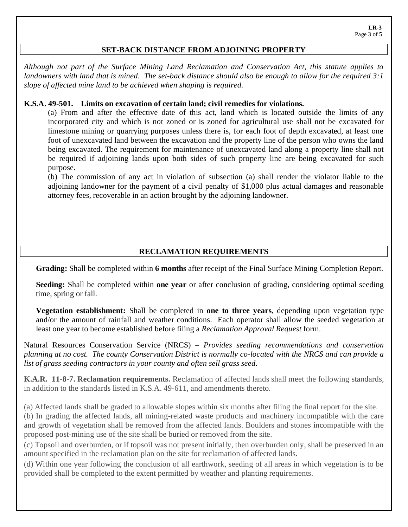#### **SET-BACK DISTANCE FROM ADJOINING PROPERTY**

*Although not part of the Surface Mining Land Reclamation and Conservation Act, this statute applies to landowners with land that is mined. The set-back distance should also be enough to allow for the required 3:1 slope of affected mine land to be achieved when shaping is required.*

#### **K.S.A. 49-501. Limits on excavation of certain land; civil remedies for violations.**

(a) From and after the effective date of this act, land which is located outside the limits of any incorporated city and which is not zoned or is zoned for agricultural use shall not be excavated for limestone mining or quarrying purposes unless there is, for each foot of depth excavated, at least one foot of unexcavated land between the excavation and the property line of the person who owns the land being excavated. The requirement for maintenance of unexcavated land along a property line shall not be required if adjoining lands upon both sides of such property line are being excavated for such purpose.

(b) The commission of any act in violation of subsection (a) shall render the violator liable to the adjoining landowner for the payment of a civil penalty of \$1,000 plus actual damages and reasonable attorney fees, recoverable in an action brought by the adjoining landowner.

## **RECLAMATION REQUIREMENTS**

**Grading:** Shall be completed within **6 months** after receipt of the Final Surface Mining Completion Report.

**Seeding:** Shall be completed within **one year** or after conclusion of grading, considering optimal seeding time, spring or fall.

**Vegetation establishment:** Shall be completed in **one to three years**, depending upon vegetation type and/or the amount of rainfall and weather conditions. Each operator shall allow the seeded vegetation at least one year to become established before filing a *Reclamation Approval Request* form.

Natural Resources Conservation Service (NRCS) – *Provides seeding recommendations and conservation planning at no cost. The county Conservation District is normally co-located with the NRCS and can provide a list of grass seeding contractors in your county and often sell grass seed.*

**K.A.R. 11-8-7. Reclamation requirements.** Reclamation of affected lands shall meet the following standards, in addition to the standards listed in K.S.A. 49-611, and amendments thereto.

(a) Affected lands shall be graded to allowable slopes within six months after filing the final report for the site. (b) In grading the affected lands, all mining-related waste products and machinery incompatible with the care and growth of vegetation shall be removed from the affected lands. Boulders and stones incompatible with the proposed post-mining use of the site shall be buried or removed from the site.

(c) Topsoil and overburden, or if topsoil was not present initially, then overburden only, shall be preserved in an amount specified in the reclamation plan on the site for reclamation of affected lands.

(d) Within one year following the conclusion of all earthwork, seeding of all areas in which vegetation is to be provided shall be completed to the extent permitted by weather and planting requirements.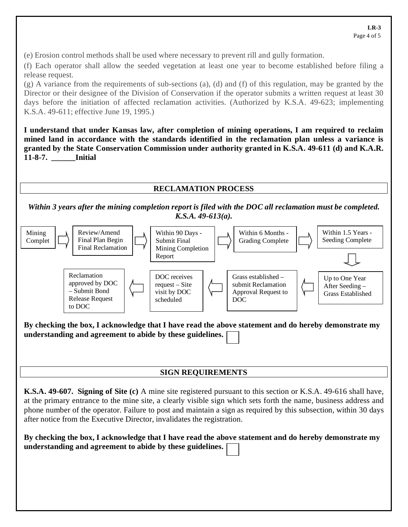(e) Erosion control methods shall be used where necessary to prevent rill and gully formation.

(f) Each operator shall allow the seeded vegetation at least one year to become established before filing a release request.

 $(g)$  A variance from the requirements of sub-sections (a), (d) and (f) of this regulation, may be granted by the Director or their designee of the Division of Conservation if the operator submits a written request at least 30 days before the initiation of affected reclamation activities. (Authorized by K.S.A. 49-623; implementing K.S.A. 49-611; effective June 19, 1995.)

**I understand that under Kansas law, after completion of mining operations, I am required to reclaim mined land in accordance with the standards identified in the reclamation plan unless a variance is granted by the State Conservation Commission under authority granted in K.S.A. 49-611 (d) and K.A.R. 11-8-7. \_\_\_\_\_\_Initial**

## **RECLAMATION PROCESS**

*Within 3 years after the mining completion report is filed with the DOC all reclamation must be completed. K.S.A. 49-613(a).*



**By checking the box, I acknowledge that I have read the above statement and do hereby demonstrate my understanding and agreement to abide by these guidelines.**

## **SIGN REQUIREMENTS**

**K.S.A. 49-607. Signing of Site (c)** A mine site registered pursuant to this section or K.S.A. 49-616 shall have, at the primary entrance to the mine site, a clearly visible sign which sets forth the name, business address and phone number of the operator. Failure to post and maintain a sign as required by this subsection, within 30 days after notice from the Executive Director, invalidates the registration.

**By checking the box, I acknowledge that I have read the above statement and do hereby demonstrate my understanding and agreement to abide by these guidelines.**